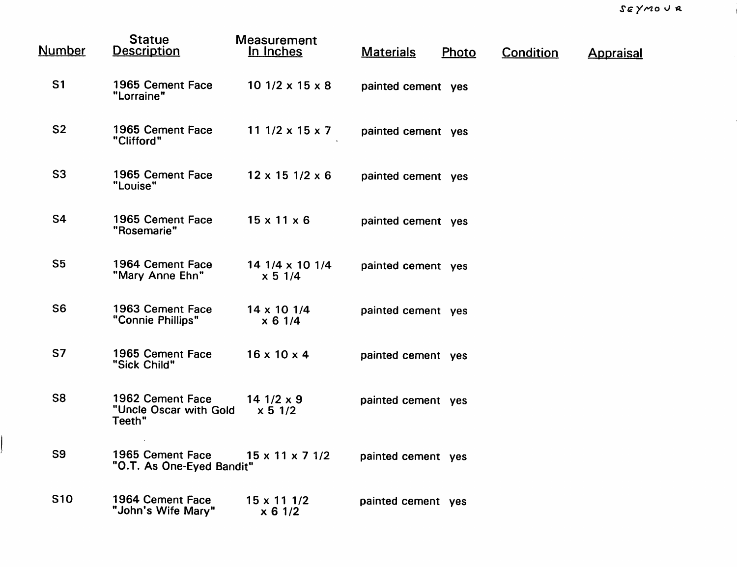$\overline{\phantom{a}}$ 

| <b>Number</b>  | <b>Statue</b><br><b>Description</b>                  | <b>Measurement</b><br>In Inches | <b>Materials</b>   | Photo | <b>Condition</b> | <b>Appraisal</b> |
|----------------|------------------------------------------------------|---------------------------------|--------------------|-------|------------------|------------------|
| S <sub>1</sub> | 1965 Cement Face<br>"Lorraine"                       | $101/2 \times 15 \times 8$      | painted cement yes |       |                  |                  |
| S <sub>2</sub> | 1965 Cement Face<br>"Clifford"                       | 11 $1/2 \times 15 \times 7$     | painted cement yes |       |                  |                  |
| S <sub>3</sub> | 1965 Cement Face<br>"Louise"                         | $12 \times 15$ 1/2 $\times$ 6   | painted cement yes |       |                  |                  |
| S4             | 1965 Cement Face<br>"Rosemarie"                      | $15 \times 11 \times 6$         | painted cement yes |       |                  |                  |
| S <sub>5</sub> | 1964 Cement Face<br>"Mary Anne Ehn"                  | 14 1/4 x 10 1/4<br>x 5 1/4      | painted cement yes |       |                  |                  |
| S <sub>6</sub> | 1963 Cement Face<br>"Connie Phillips"                | $14 \times 10$ 1/4<br>x 6 1/4   | painted cement yes |       |                  |                  |
| S7             | 1965 Cement Face<br>"Sick Child"                     | $16 \times 10 \times 4$         | painted cement yes |       |                  |                  |
| <b>S8</b>      | 1962 Cement Face<br>"Uncle Oscar with Gold<br>Teeth" | 14 $1/2 \times 9$<br>x 5 1/2    | painted cement yes |       |                  |                  |
| S <sub>9</sub> | 1965 Cement Face<br>"O.T. As One-Eyed Bandit"        | $15 \times 11 \times 7$ 1/2     | painted cement yes |       |                  |                  |
| <b>S10</b>     | 1964 Cement Face<br>"John's Wife Mary"               | $15 \times 111 / 2$<br>x 6 1/2  | painted cement yes |       |                  |                  |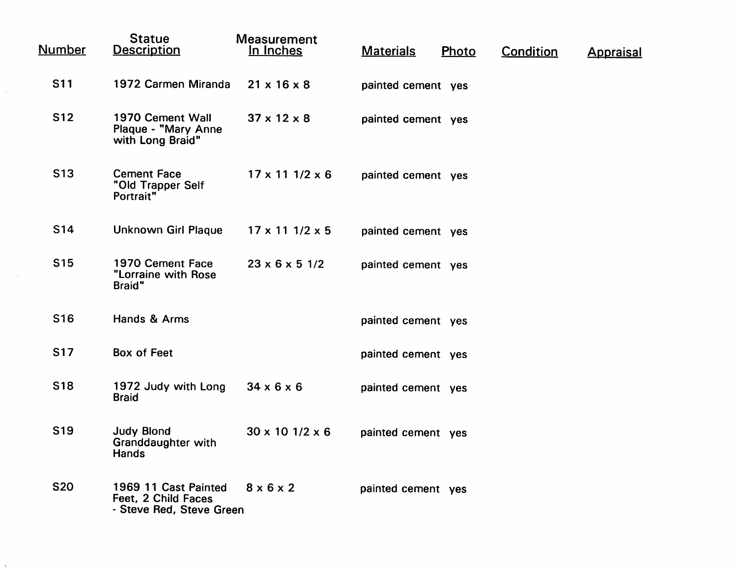| <b>Number</b>   | <b>Statue</b><br><b>Description</b>                                     | <b>Measurement</b><br>In Inches | <b>Materials</b>   | Photo | Condition | <b>Appraisal</b> |
|-----------------|-------------------------------------------------------------------------|---------------------------------|--------------------|-------|-----------|------------------|
| <b>S11</b>      | 1972 Carmen Miranda                                                     | $21 \times 16 \times 8$         | painted cement yes |       |           |                  |
| <b>S12</b>      | 1970 Cement Wall<br>Plaque - "Mary Anne<br>with Long Braid"             | $37 \times 12 \times 8$         | painted cement yes |       |           |                  |
| <b>S13</b>      | <b>Cement Face</b><br>"Old Trapper Self<br>Portrait"                    | $17 \times 11$ $1/2 \times 6$   | painted cement yes |       |           |                  |
| S14             | <b>Unknown Girl Plaque</b>                                              | $17 \times 11$ $1/2 \times 5$   | painted cement yes |       |           |                  |
| S <sub>15</sub> | 1970 Cement Face<br>"Lorraine with Rose<br><b>Braid</b> "               | $23 \times 6 \times 5$ 1/2      | painted cement yes |       |           |                  |
| S <sub>16</sub> | Hands & Arms                                                            |                                 | painted cement yes |       |           |                  |
| <b>S17</b>      | <b>Box of Feet</b>                                                      |                                 | painted cement yes |       |           |                  |
| <b>S18</b>      | 1972 Judy with Long<br><b>Braid</b>                                     | $34 \times 6 \times 6$          | painted cement yes |       |           |                  |
| <b>S19</b>      | <b>Judy Blond</b><br><b>Granddaughter with</b><br><b>Hands</b>          | $30 \times 10$ 1/2 $\times$ 6   | painted cement yes |       |           |                  |
| <b>S20</b>      | 1969 11 Cast Painted<br>Feet, 2 Child Faces<br>- Steve Red, Steve Green | $8 \times 6 \times 2$           | painted cement yes |       |           |                  |

 $\sim 10^{-1}$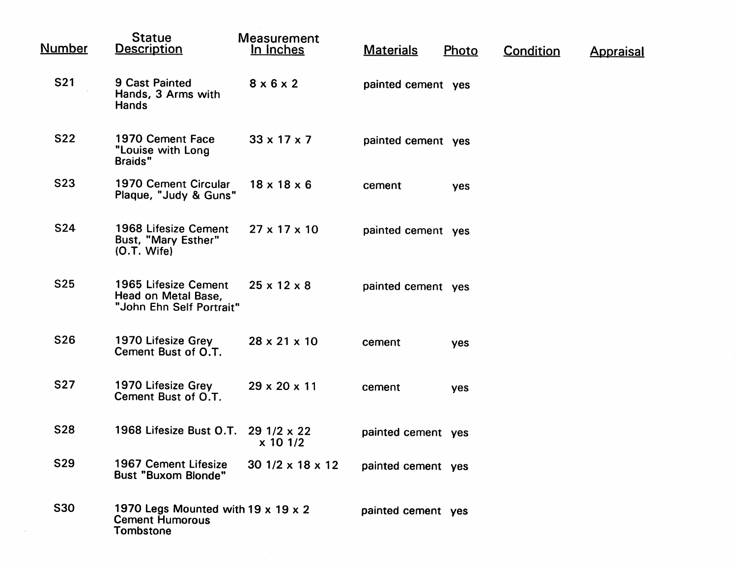| <b>Number</b> | <b>Statue</b><br><b>Description</b>                                              | <b>Measurement</b><br>In Inches | <b>Materials</b>   | Photo | <b>Condition</b> | <u>Appraisal</u> |
|---------------|----------------------------------------------------------------------------------|---------------------------------|--------------------|-------|------------------|------------------|
| <b>S21</b>    | <b>9 Cast Painted</b><br>Hands, 3 Arms with<br><b>Hands</b>                      | $8 \times 6 \times 2$           | painted cement yes |       |                  |                  |
| <b>S22</b>    | 1970 Cement Face<br>"Louise with Long<br><b>Braids</b> "                         | $33 \times 17 \times 7$         | painted cement yes |       |                  |                  |
| <b>S23</b>    | 1970 Cement Circular<br>Plaque, "Judy & Guns"                                    | $18 \times 18 \times 6$         | cement             | yes   |                  |                  |
| <b>S24</b>    | 1968 Lifesize Cement<br>Bust, "Mary Esther"<br>$(O.T.$ Wife)                     | $27 \times 17 \times 10$        | painted cement yes |       |                  |                  |
| <b>S25</b>    | 1965 Lifesize Cement<br>Head on Metal Base,<br>"John Ehn Self Portrait"          | $25 \times 12 \times 8$         | painted cement yes |       |                  |                  |
| <b>S26</b>    | 1970 Lifesize Grey<br>Cement Bust of O.T.                                        | $28 \times 21 \times 10$        | cement             | yes   |                  |                  |
| <b>S27</b>    | 1970 Lifesize Grey<br>Cement Bust of O.T.                                        | $29 \times 20 \times 11$        | cement             | yes   |                  |                  |
| <b>S28</b>    | 1968 Lifesize Bust O.T. 29 1/2 x 22                                              | x 10 1/2                        | painted cement yes |       |                  |                  |
| <b>S29</b>    | 1967 Cement Lifesize<br><b>Bust "Buxom Blonde"</b>                               | $301/2 \times 18 \times 12$     | painted cement yes |       |                  |                  |
| <b>S30</b>    | 1970 Legs Mounted with 19 x 19 x 2<br><b>Cement Humorous</b><br><b>Tombstone</b> |                                 | painted cement yes |       |                  |                  |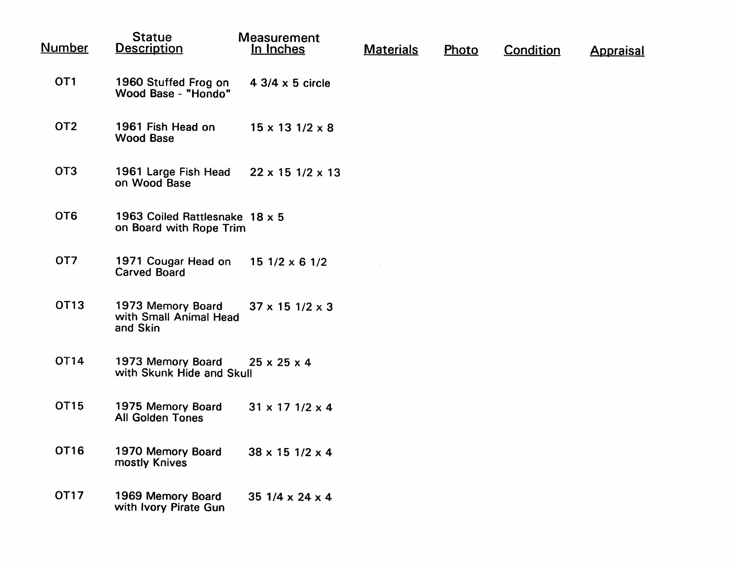| <u>Number</u>   | <b>Statue</b><br><b>Description</b>                       | <b>Measurement</b><br>In Inches | <b>Materials</b> | Photo | Condition | <b>Appraisal</b> |
|-----------------|-----------------------------------------------------------|---------------------------------|------------------|-------|-----------|------------------|
| OT <sub>1</sub> | 1960 Stuffed Frog on<br>Wood Base - "Hondo"               | $4 \frac{3}{4} \times 5$ circle |                  |       |           |                  |
| OT <sub>2</sub> | 1961 Fish Head on<br><b>Wood Base</b>                     | $15 \times 13$ $1/2 \times 8$   |                  |       |           |                  |
| OT <sub>3</sub> | 1961 Large Fish Head<br>on Wood Base                      | $22 \times 15$ 1/2 $\times$ 13  |                  |       |           |                  |
| OT <sub>6</sub> | 1963 Coiled Rattlesnake 18 x 5<br>on Board with Rope Trim |                                 |                  |       |           |                  |
| OT <sub>7</sub> | 1971 Cougar Head on<br>Carved Board                       | $151/2 \times 61/2$             |                  |       |           |                  |
| OT13            | 1973 Memory Board<br>with Small Animal Head<br>and Skin   | $37 \times 15$ 1/2 $\times$ 3   |                  |       |           |                  |
| OT14            | 1973 Memory Board<br>with Skunk Hide and Skull            | $25 \times 25 \times 4$         |                  |       |           |                  |
| OT15            | 1975 Memory Board<br><b>All Golden Tones</b>              | $31 \times 17$ $1/2 \times 4$   |                  |       |           |                  |
| <b>OT16</b>     | 1970 Memory Board<br>mostly Knives                        | $38 \times 15$ 1/2 $\times$ 4   |                  |       |           |                  |
| <b>OT17</b>     | 1969 Memory Board<br>with Ivory Pirate Gun                | 35 $1/4 \times 24 \times 4$     |                  |       |           |                  |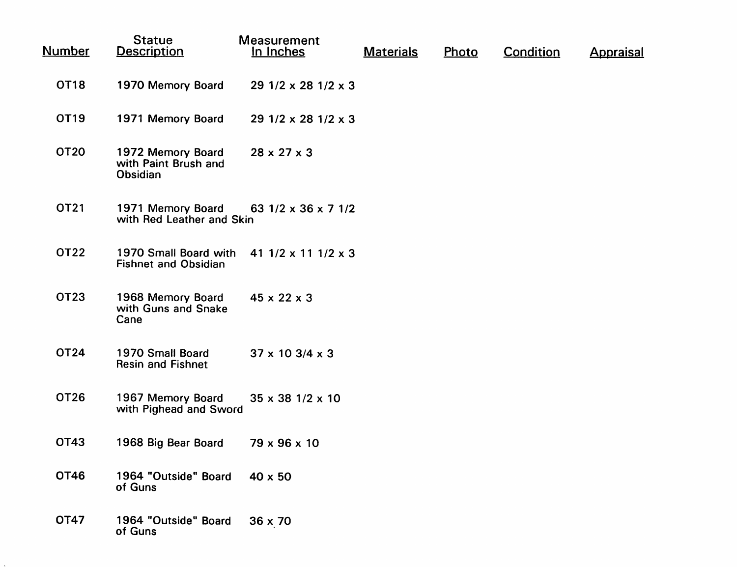| <u>Number</u>    | <b>Statue</b><br><b>Description</b>                   | <b>Measurement</b><br>In Inches   | <b>Materials</b> | Photo | <b>Condition</b> | <b>Appraisal</b> |
|------------------|-------------------------------------------------------|-----------------------------------|------------------|-------|------------------|------------------|
| OT18             | 1970 Memory Board                                     | $291/2 \times 281/2 \times 3$     |                  |       |                  |                  |
| OT <sub>19</sub> | 1971 Memory Board                                     | $291/2 \times 281/2 \times 3$     |                  |       |                  |                  |
| <b>OT20</b>      | 1972 Memory Board<br>with Paint Brush and<br>Obsidian | $28 \times 27 \times 3$           |                  |       |                  |                  |
| OT21             | 1971 Memory Board<br>with Red Leather and Skin        | 63 $1/2 \times 36 \times 7$ 1/2   |                  |       |                  |                  |
| <b>OT22</b>      | 1970 Small Board with<br><b>Fishnet and Obsidian</b>  | 41 $1/2 \times 11$ $1/2 \times 3$ |                  |       |                  |                  |
| OT23             | 1968 Memory Board<br>with Guns and Snake<br>Cane      | $45 \times 22 \times 3$           |                  |       |                  |                  |
| <b>OT24</b>      | 1970 Small Board<br><b>Resin and Fishnet</b>          | $37 \times 10$ 3/4 $\times$ 3     |                  |       |                  |                  |
| OT26             | 1967 Memory Board<br>with Pighead and Sword           | $35 \times 38$ 1/2 $\times$ 10    |                  |       |                  |                  |
| <b>OT43</b>      | 1968 Big Bear Board                                   | $79 \times 96 \times 10$          |                  |       |                  |                  |
| <b>OT46</b>      | 1964 "Outside" Board<br>of Guns                       | $40 \times 50$                    |                  |       |                  |                  |
| OT47             | 1964 "Outside" Board<br>of Guns                       | $36 \times 70$                    |                  |       |                  |                  |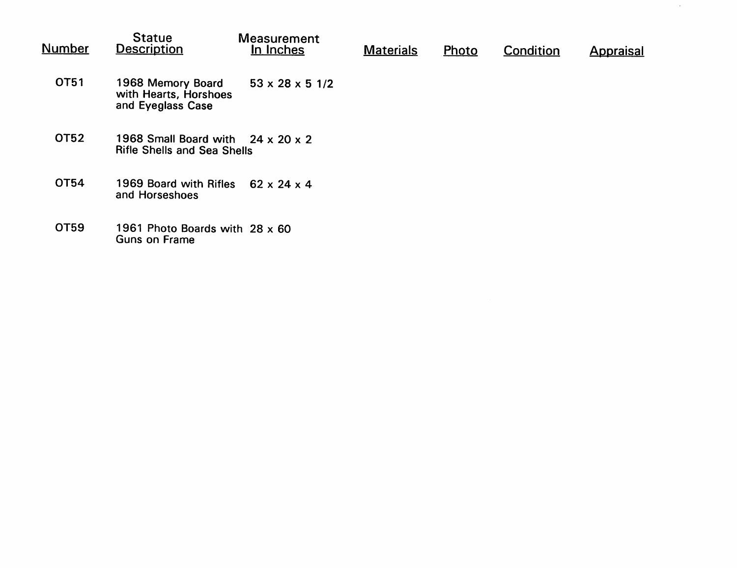| Number      | <b>Statue</b><br><b>Description</b>                                                 | <b>Measurement</b><br>In Inches | <b>Materials</b> | Photo | Condition | <b>Appraisal</b> |
|-------------|-------------------------------------------------------------------------------------|---------------------------------|------------------|-------|-----------|------------------|
| OT51        | 1968 Memory Board<br>with Hearts, Horshoes<br>and Eyeglass Case                     | $53 \times 28 \times 5$ 1/2     |                  |       |           |                  |
| <b>OT52</b> | 1968 Small Board with $24 \times 20 \times 2$<br><b>Rifle Shells and Sea Shells</b> |                                 |                  |       |           |                  |
| OT54        | 1969 Board with Rifles<br>and Horseshoes                                            | $62 \times 24 \times 4$         |                  |       |           |                  |
| OT59        | 1961 Photo Boards with 28 x 60<br>Guns on Frame                                     |                                 |                  |       |           |                  |

 $\sim$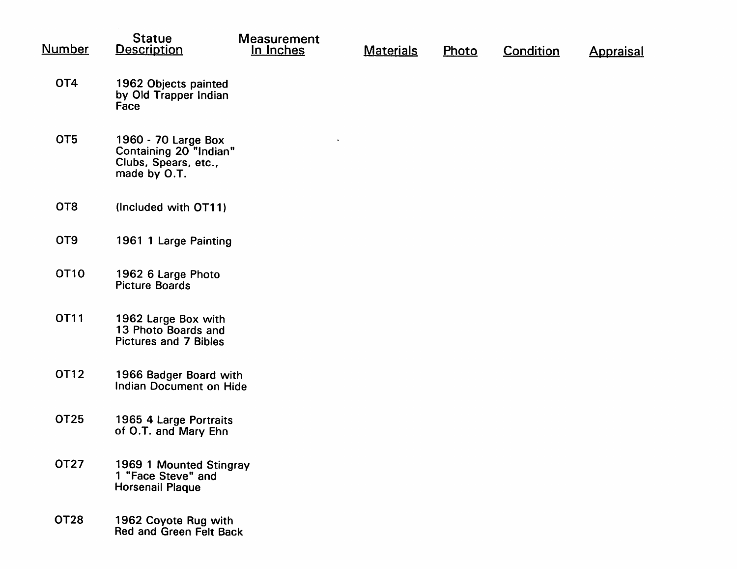| <b>Number</b>   | <b>Statue</b><br><b>Description</b>                                                   | <b>Measurement</b><br>In Inches | <b>Materials</b> | Photo | <b>Condition</b> | <b>Appraisal</b> |
|-----------------|---------------------------------------------------------------------------------------|---------------------------------|------------------|-------|------------------|------------------|
| OT4             | 1962 Objects painted<br>by Old Trapper Indian<br>Face                                 |                                 |                  |       |                  |                  |
| OT <sub>5</sub> | 1960 - 70 Large Box<br>Containing 20 "Indian"<br>Clubs, Spears, etc.,<br>made by O.T. |                                 |                  |       |                  |                  |
| OT <sub>8</sub> | (Included with OT11)                                                                  |                                 |                  |       |                  |                  |
| OT <sub>9</sub> | 1961 1 Large Painting                                                                 |                                 |                  |       |                  |                  |
| <b>OT10</b>     | 1962 6 Large Photo<br><b>Picture Boards</b>                                           |                                 |                  |       |                  |                  |
| <b>OT11</b>     | 1962 Large Box with<br>13 Photo Boards and<br><b>Pictures and 7 Bibles</b>            |                                 |                  |       |                  |                  |
| OT12            | 1966 Badger Board with<br>Indian Document on Hide                                     |                                 |                  |       |                  |                  |
| OT25            | 1965 4 Large Portraits<br>of O.T. and Mary Ehn                                        |                                 |                  |       |                  |                  |
| <b>OT27</b>     | 1969 1 Mounted Stingray<br>1 "Face Steve" and<br><b>Horsenail Plaque</b>              |                                 |                  |       |                  |                  |
| <b>OT28</b>     | 1962 Coyote Rug with<br>Red and Green Felt Back                                       |                                 |                  |       |                  |                  |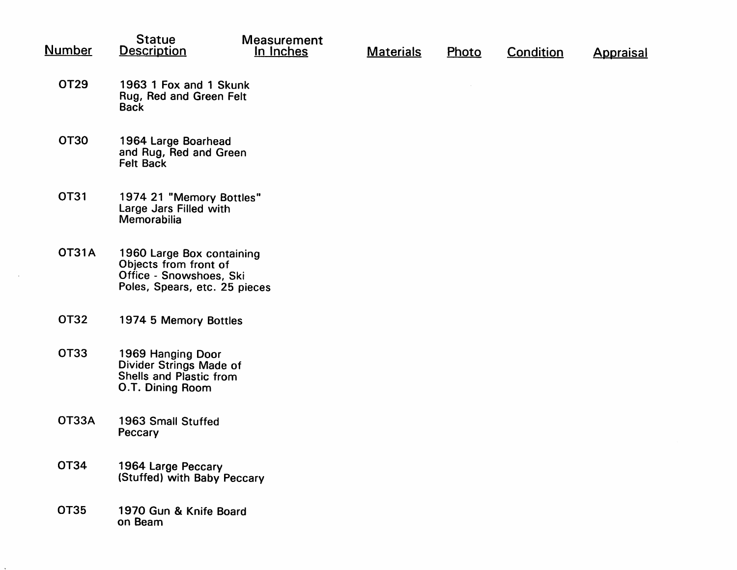| <u>Number</u> | <b>Statue</b><br><b>Description</b>                                                                            | <b>Measurement</b><br>In Inches | <b>Materials</b> | Photo | <b>Condition</b> | <b>Appraisal</b> |
|---------------|----------------------------------------------------------------------------------------------------------------|---------------------------------|------------------|-------|------------------|------------------|
| OT29          | 1963 1 Fox and 1 Skunk<br>Rug, Red and Green Felt<br><b>Back</b>                                               |                                 |                  |       |                  |                  |
| <b>OT30</b>   | 1964 Large Boarhead<br>and Rug, Red and Green<br><b>Felt Back</b>                                              |                                 |                  |       |                  |                  |
| <b>OT31</b>   | 1974 21 "Memory Bottles"<br>Large Jars Filled with<br>Memorabilia                                              |                                 |                  |       |                  |                  |
| <b>OT31A</b>  | 1960 Large Box containing<br>Objects from front of<br>Office - Snowshoes, Ski<br>Poles, Spears, etc. 25 pieces |                                 |                  |       |                  |                  |
| <b>OT32</b>   | 1974 5 Memory Bottles                                                                                          |                                 |                  |       |                  |                  |
| OT33          | 1969 Hanging Door<br>Divider Strings Made of<br>Shells and Plastic from<br>O.T. Dining Room                    |                                 |                  |       |                  |                  |
| <b>OT33A</b>  | 1963 Small Stuffed<br>Peccary                                                                                  |                                 |                  |       |                  |                  |
| <b>OT34</b>   | 1964 Large Peccary<br>(Stuffed) with Baby Peccary                                                              |                                 |                  |       |                  |                  |
| <b>OT35</b>   | 1970 Gun & Knife Board<br>on Beam                                                                              |                                 |                  |       |                  |                  |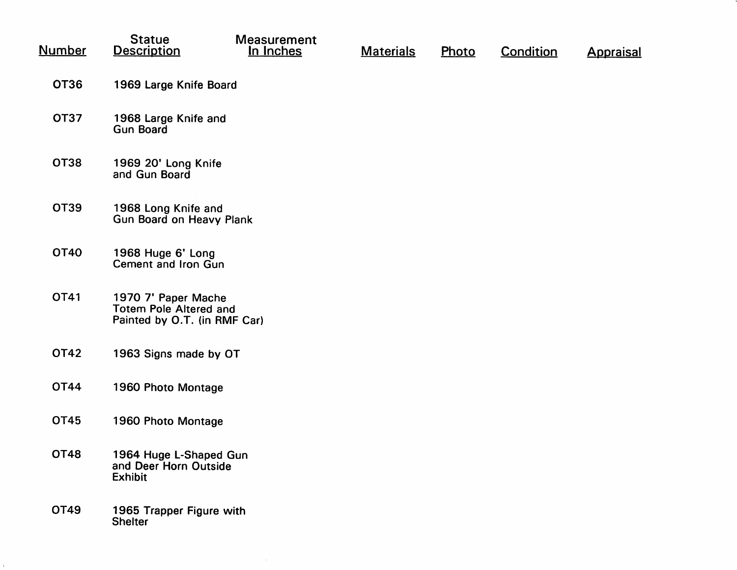| <u>Number</u> | <b>Statue</b><br><b>Description</b>                                                  | <b>Measurement</b><br>In Inches | <b>Materials</b> | Photo | <b>Condition</b> | <b>Appraisal</b> |  |  |  |
|---------------|--------------------------------------------------------------------------------------|---------------------------------|------------------|-------|------------------|------------------|--|--|--|
| <b>OT36</b>   | 1969 Large Knife Board                                                               |                                 |                  |       |                  |                  |  |  |  |
| <b>OT37</b>   | 1968 Large Knife and<br><b>Gun Board</b>                                             |                                 |                  |       |                  |                  |  |  |  |
| <b>OT38</b>   | 1969 20' Long Knife<br>and Gun Board                                                 |                                 |                  |       |                  |                  |  |  |  |
| <b>OT39</b>   | 1968 Long Knife and<br>Gun Board on Heavy Plank                                      |                                 |                  |       |                  |                  |  |  |  |
| <b>OT40</b>   | 1968 Huge 6' Long<br>Cement and Iron Gun                                             |                                 |                  |       |                  |                  |  |  |  |
| OT41          | 1970 7' Paper Mache<br><b>Totem Pole Altered and</b><br>Painted by O.T. (in RMF Car) |                                 |                  |       |                  |                  |  |  |  |
| <b>OT42</b>   | 1963 Signs made by OT                                                                |                                 |                  |       |                  |                  |  |  |  |
| <b>OT44</b>   | 1960 Photo Montage                                                                   |                                 |                  |       |                  |                  |  |  |  |
| <b>OT45</b>   | 1960 Photo Montage                                                                   |                                 |                  |       |                  |                  |  |  |  |
| <b>OT48</b>   | 1964 Huge L-Shaped Gun<br>and Deer Horn Outside<br><b>Exhibit</b>                    |                                 |                  |       |                  |                  |  |  |  |
| OT49          | 1965 Trapper Figure with<br><b>Shelter</b>                                           |                                 |                  |       |                  |                  |  |  |  |

 $\sim 10^{11}$